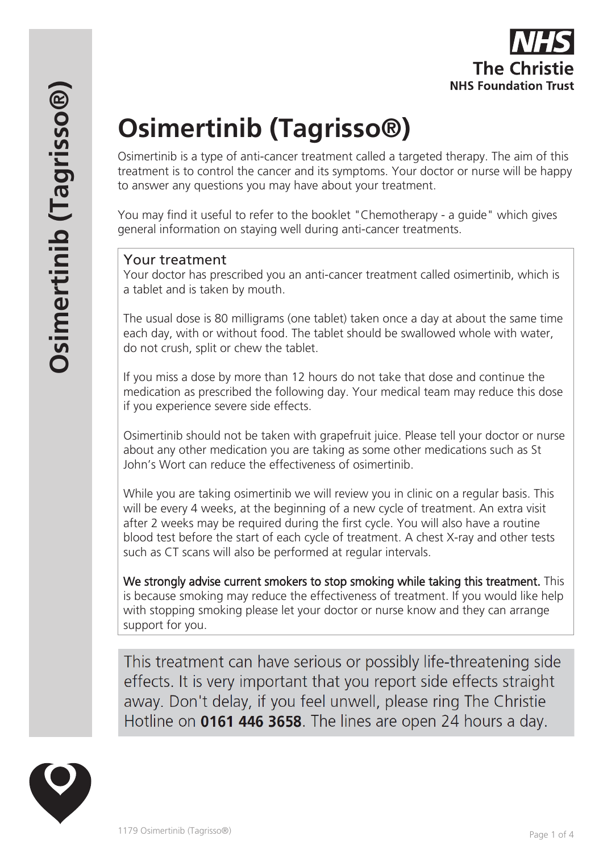# **Osimertinib (Tagrisso®)**

Osimertinib is a type of anti-cancer treatment called a targeted therapy. The aim of this treatment is to control the cancer and its symptoms. Your doctor or nurse will be happy to answer any questions you may have about your treatment.

You may find it useful to refer to the booklet "Chemotherapy - a guide" which gives general information on staying well during anti-cancer treatments.

# Your treatment

Your doctor has prescribed you an anti-cancer treatment called osimertinib, which is a tablet and is taken by mouth.

The usual dose is 80 milligrams (one tablet) taken once a day at about the same time each day, with or without food. The tablet should be swallowed whole with water, do not crush, split or chew the tablet.

If you miss a dose by more than 12 hours do not take that dose and continue the medication as prescribed the following day. Your medical team may reduce this dose if you experience severe side effects.

Osimertinib should not be taken with grapefruit juice. Please tell your doctor or nurse about any other medication you are taking as some other medications such as St John's Wort can reduce the effectiveness of osimertinib.

While you are taking osimertinib we will review you in clinic on a regular basis. This will be every 4 weeks, at the beginning of a new cycle of treatment. An extra visit after 2 weeks may be required during the first cycle. You will also have a routine blood test before the start of each cycle of treatment. A chest X-ray and other tests such as CT scans will also be performed at regular intervals.

We strongly advise current smokers to stop smoking while taking this treatment. This is because smoking may reduce the effectiveness of treatment. If you would like help with stopping smoking please let your doctor or nurse know and they can arrange support for you.

This treatment can have serious or possibly life-threatening side effects. It is very important that you report side effects straight away. Don't delay, if you feel unwell, please ring The Christie Hotline on 0161 446 3658. The lines are open 24 hours a day.

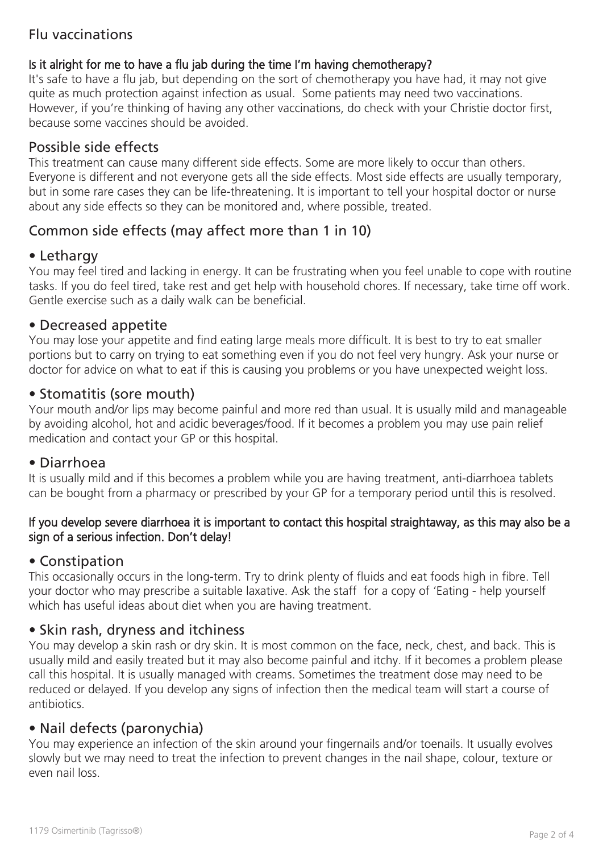# Flu vaccinations

#### Is it alright for me to have a flu jab during the time I'm having chemotherapy?

It's safe to have a flu jab, but depending on the sort of chemotherapy you have had, it may not give quite as much protection against infection as usual. Some patients may need two vaccinations. However, if you're thinking of having any other vaccinations, do check with your Christie doctor first, because some vaccines should be avoided.

# Possible side effects

This treatment can cause many different side effects. Some are more likely to occur than others. Everyone is different and not everyone gets all the side effects. Most side effects are usually temporary, but in some rare cases they can be life-threatening. It is important to tell your hospital doctor or nurse about any side effects so they can be monitored and, where possible, treated.

# Common side effects (may affect more than 1 in 10)

#### • Lethargy

You may feel tired and lacking in energy. It can be frustrating when you feel unable to cope with routine tasks. If you do feel tired, take rest and get help with household chores. If necessary, take time off work. Gentle exercise such as a daily walk can be beneficial.

## • Decreased appetite

You may lose your appetite and find eating large meals more difficult. It is best to try to eat smaller portions but to carry on trying to eat something even if you do not feel very hungry. Ask your nurse or doctor for advice on what to eat if this is causing you problems or you have unexpected weight loss.

## • Stomatitis (sore mouth)

Your mouth and/or lips may become painful and more red than usual. It is usually mild and manageable by avoiding alcohol, hot and acidic beverages/food. If it becomes a problem you may use pain relief medication and contact your GP or this hospital.

#### • Diarrhoea

It is usually mild and if this becomes a problem while you are having treatment, anti-diarrhoea tablets can be bought from a pharmacy or prescribed by your GP for a temporary period until this is resolved.

#### If you develop severe diarrhoea it is important to contact this hospital straightaway, as this may also be a sign of a serious infection. Don't delay!

# • Constipation

This occasionally occurs in the long-term. Try to drink plenty of fluids and eat foods high in fibre. Tell your doctor who may prescribe a suitable laxative. Ask the staff for a copy of 'Eating - help yourself which has useful ideas about diet when you are having treatment.

# • Skin rash, dryness and itchiness

You may develop a skin rash or dry skin. It is most common on the face, neck, chest, and back. This is usually mild and easily treated but it may also become painful and itchy. If it becomes a problem please call this hospital. It is usually managed with creams. Sometimes the treatment dose may need to be reduced or delayed. If you develop any signs of infection then the medical team will start a course of antibiotics.

# • Nail defects (paronychia)

You may experience an infection of the skin around your fingernails and/or toenails. It usually evolves slowly but we may need to treat the infection to prevent changes in the nail shape, colour, texture or even nail loss.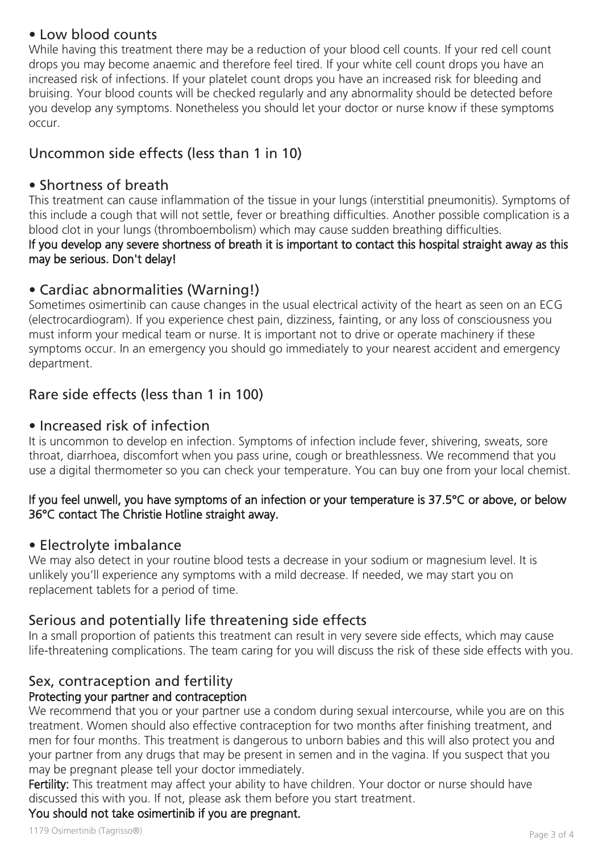# • Low blood counts

While having this treatment there may be a reduction of your blood cell counts. If your red cell count drops you may become anaemic and therefore feel tired. If your white cell count drops you have an increased risk of infections. If your platelet count drops you have an increased risk for bleeding and bruising. Your blood counts will be checked regularly and any abnormality should be detected before you develop any symptoms. Nonetheless you should let your doctor or nurse know if these symptoms occur.

# Uncommon side effects (less than 1 in 10)

# • Shortness of breath

This treatment can cause inflammation of the tissue in your lungs (interstitial pneumonitis). Symptoms of this include a cough that will not settle, fever or breathing difficulties. Another possible complication is a blood clot in your lungs (thromboembolism) which may cause sudden breathing difficulties. If you develop any severe shortness of breath it is important to contact this hospital straight away as this

# may be serious. Don't delay!

# • Cardiac abnormalities (Warning!)

Sometimes osimertinib can cause changes in the usual electrical activity of the heart as seen on an ECG (electrocardiogram). If you experience chest pain, dizziness, fainting, or any loss of consciousness you must inform your medical team or nurse. It is important not to drive or operate machinery if these symptoms occur. In an emergency you should go immediately to your nearest accident and emergency department.

# Rare side effects (less than 1 in 100)

# • Increased risk of infection

It is uncommon to develop en infection. Symptoms of infection include fever, shivering, sweats, sore throat, diarrhoea, discomfort when you pass urine, cough or breathlessness. We recommend that you use a digital thermometer so you can check your temperature. You can buy one from your local chemist.

#### If you feel unwell, you have symptoms of an infection or your temperature is 37.5°C or above, or below 36°C contact The Christie Hotline straight away.

#### • Electrolyte imbalance

We may also detect in your routine blood tests a decrease in your sodium or magnesium level. It is unlikely you'll experience any symptoms with a mild decrease. If needed, we may start you on replacement tablets for a period of time.

# Serious and potentially life threatening side effects

In a small proportion of patients this treatment can result in very severe side effects, which may cause life-threatening complications. The team caring for you will discuss the risk of these side effects with you.

# Sex, contraception and fertility

# Protecting your partner and contraception

We recommend that you or your partner use a condom during sexual intercourse, while you are on this treatment. Women should also effective contraception for two months after finishing treatment, and men for four months. This treatment is dangerous to unborn babies and this will also protect you and your partner from any drugs that may be present in semen and in the vagina. If you suspect that you may be pregnant please tell your doctor immediately.

Fertility: This treatment may affect your ability to have children. Your doctor or nurse should have discussed this with you. If not, please ask them before you start treatment.

# You should not take osimertinib if you are pregnant.